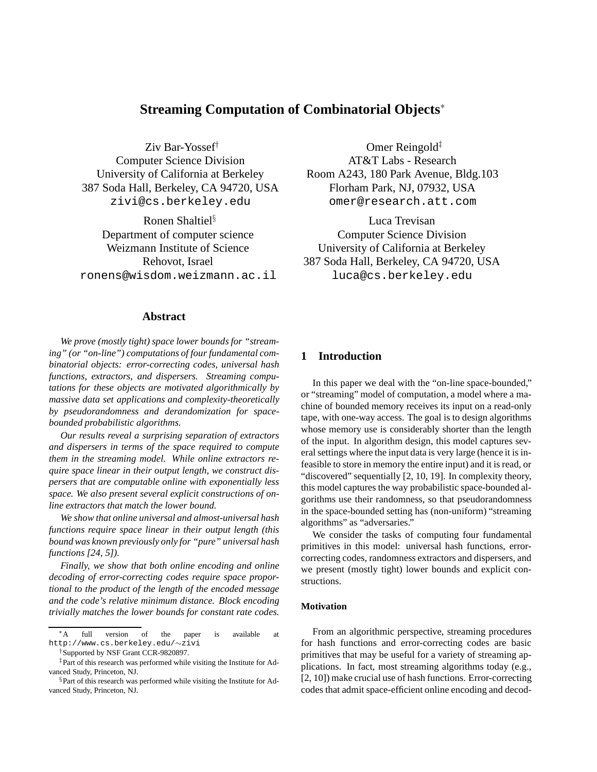# **Streaming Computation of Combinatorial Objects**<sup>∗</sup>

Ziv Bar-Yossef† Computer Science Division University of California at Berkeley 387 Soda Hall, Berkeley, CA 94720, USA zivi@cs.berkeley.edu

Ronen Shaltiel§ Department of computer science Weizmann Institute of Science Rehovot, Israel ronens@wisdom.weizmann.ac.il

## **Abstract**

*We prove (mostly tight) space lower bounds for "streaming" (or "on-line") computations of four fundamental combinatorial objects: error-correcting codes, universal hash functions, extractors, and dispersers. Streaming computations for these objects are motivated algorithmically by massive data set applications and complexity-theoretically by pseudorandomness and derandomization for spacebounded probabilistic algorithms.*

*Our results reveal a surprising separation of extractors and dispersers in terms of the space required to compute them in the streaming model. While online extractors require space linear in their output length, we construct dispersers that are computable online with exponentially less space. We also present several explicit constructions of online extractors that match the lower bound.*

*We show that online universal and almost-universal hash functions require space linear in their output length (this bound was known previously only for "pure" universal hash functions [24, 5]).*

*Finally, we show that both online encoding and online decoding of error-correcting codes require space proportional to the product of the length of the encoded message and the code's relative minimum distance. Block encoding trivially matches the lower bounds for constant rate codes.*

Omer Reingold<sup>‡</sup> AT&T Labs - Research Room A243, 180 Park Avenue, Bldg.103 Florham Park, NJ, 07932, USA omer@research.att.com

Luca Trevisan Computer Science Division University of California at Berkeley 387 Soda Hall, Berkeley, CA 94720, USA luca@cs.berkeley.edu

## **1 Introduction**

In this paper we deal with the "on-line space-bounded," or "streaming" model of computation, a model where a machine of bounded memory receives its input on a read-only tape, with one-way access. The goal is to design algorithms whose memory use is considerably shorter than the length of the input. In algorithm design, this model captures several settings where the input data is very large (hence it is infeasible to store in memory the entire input) and it is read, or "discovered" sequentially [2, 10, 19]. In complexity theory, this model captures the way probabilistic space-bounded algorithms use their randomness, so that pseudorandomness in the space-bounded setting has (non-uniform) "streaming algorithms" as "adversaries."

We consider the tasks of computing four fundamental primitives in this model: universal hash functions, errorcorrecting codes, randomness extractors and dispersers, and we present (mostly tight) lower bounds and explicit constructions.

#### **Motivation**

From an algorithmic perspective, streaming procedures for hash functions and error-correcting codes are basic primitives that may be useful for a variety of streaming applications. In fact, most streaming algorithms today (e.g., [2, 10]) make crucial use of hash functions. Error-correcting codes that admit space-efficient online encoding and decod-

<sup>∗</sup>A full version of the paper is available at http://www.cs.berkeley.edu/∼zivi

<sup>†</sup>Supported by NSF Grant CCR-9820897.

<sup>‡</sup>Part of this research was performed while visiting the Institute for Advanced Study, Princeton, NJ.

<sup>§</sup>Part of this research was performed while visiting the Institute for Advanced Study, Princeton, NJ.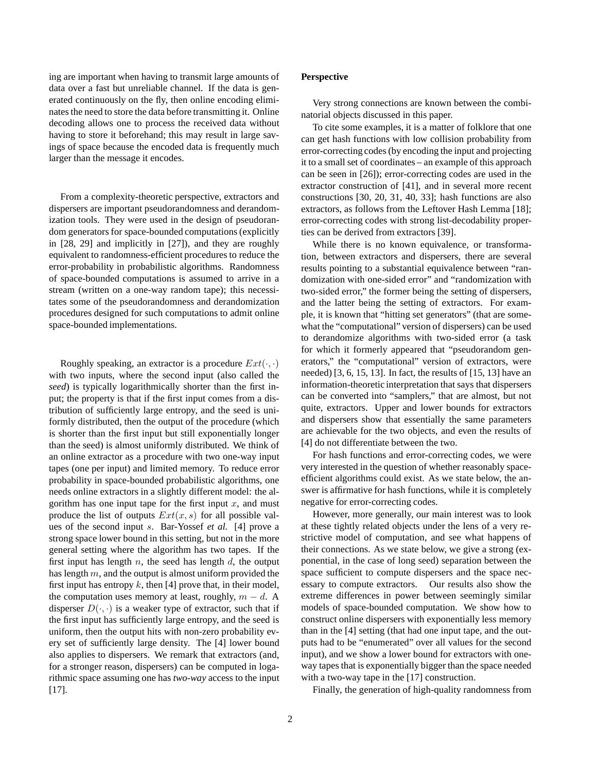ing are important when having to transmit large amounts of data over a fast but unreliable channel. If the data is generated continuously on the fly, then online encoding eliminates the need to store the data before transmitting it. Online decoding allows one to process the received data without having to store it beforehand; this may result in large savings of space because the encoded data is frequently much larger than the message it encodes.

From a complexity-theoretic perspective, extractors and dispersers are important pseudorandomness and derandomization tools. They were used in the design of pseudorandom generators for space-bounded computations (explicitly in [28, 29] and implicitly in [27]), and they are roughly equivalent to randomness-efficient procedures to reduce the error-probability in probabilistic algorithms. Randomness of space-bounded computations is assumed to arrive in a stream (written on a one-way random tape); this necessitates some of the pseudorandomness and derandomization procedures designed for such computations to admit online space-bounded implementations.

Roughly speaking, an extractor is a procedure  $Ext(\cdot, \cdot)$ with two inputs, where the second input (also called the *seed*) is typically logarithmically shorter than the first input; the property is that if the first input comes from a distribution of sufficiently large entropy, and the seed is uniformly distributed, then the output of the procedure (which is shorter than the first input but still exponentially longer than the seed) is almost uniformly distributed. We think of an online extractor as a procedure with two one-way input tapes (one per input) and limited memory. To reduce error probability in space-bounded probabilistic algorithms, one needs online extractors in a slightly different model: the algorithm has one input tape for the first input  $x$ , and must produce the list of outputs  $Ext(x, s)$  for all possible values of the second input s. Bar-Yossef *et al.* [4] prove a strong space lower bound in this setting, but not in the more general setting where the algorithm has two tapes. If the first input has length  $n$ , the seed has length  $d$ , the output has length m, and the output is almost uniform provided the first input has entropy  $k$ , then [4] prove that, in their model, the computation uses memory at least, roughly,  $m - d$ . A disperser  $D(\cdot, \cdot)$  is a weaker type of extractor, such that if the first input has sufficiently large entropy, and the seed is uniform, then the output hits with non-zero probability every set of sufficiently large density. The [4] lower bound also applies to dispersers. We remark that extractors (and, for a stronger reason, dispersers) can be computed in logarithmic space assuming one has *two-way* access to the input [17].

#### **Perspective**

Very strong connections are known between the combinatorial objects discussed in this paper.

To cite some examples, it is a matter of folklore that one can get hash functions with low collision probability from error-correcting codes (by encoding the input and projecting it to a small set of coordinates – an example of this approach can be seen in [26]); error-correcting codes are used in the extractor construction of [41], and in several more recent constructions [30, 20, 31, 40, 33]; hash functions are also extractors, as follows from the Leftover Hash Lemma [18]; error-correcting codes with strong list-decodability properties can be derived from extractors [39].

While there is no known equivalence, or transformation, between extractors and dispersers, there are several results pointing to a substantial equivalence between "randomization with one-sided error" and "randomization with two-sided error," the former being the setting of dispersers, and the latter being the setting of extractors. For example, it is known that "hitting set generators" (that are somewhat the "computational" version of dispersers) can be used to derandomize algorithms with two-sided error (a task for which it formerly appeared that "pseudorandom generators," the "computational" version of extractors, were needed) [3, 6, 15, 13]. In fact, the results of [15, 13] have an information-theoretic interpretation that says that dispersers can be converted into "samplers," that are almost, but not quite, extractors. Upper and lower bounds for extractors and dispersers show that essentially the same parameters are achievable for the two objects, and even the results of [4] do not differentiate between the two.

For hash functions and error-correcting codes, we were very interested in the question of whether reasonably spaceefficient algorithms could exist. As we state below, the answer is affirmative for hash functions, while it is completely negative for error-correcting codes.

However, more generally, our main interest was to look at these tightly related objects under the lens of a very restrictive model of computation, and see what happens of their connections. As we state below, we give a strong (exponential, in the case of long seed) separation between the space sufficient to compute dispersers and the space necessary to compute extractors. Our results also show the extreme differences in power between seemingly similar models of space-bounded computation. We show how to construct online dispersers with exponentially less memory than in the [4] setting (that had one input tape, and the outputs had to be "enumerated" over all values for the second input), and we show a lower bound for extractors with oneway tapes that is exponentially bigger than the space needed with a two-way tape in the [17] construction.

Finally, the generation of high-quality randomness from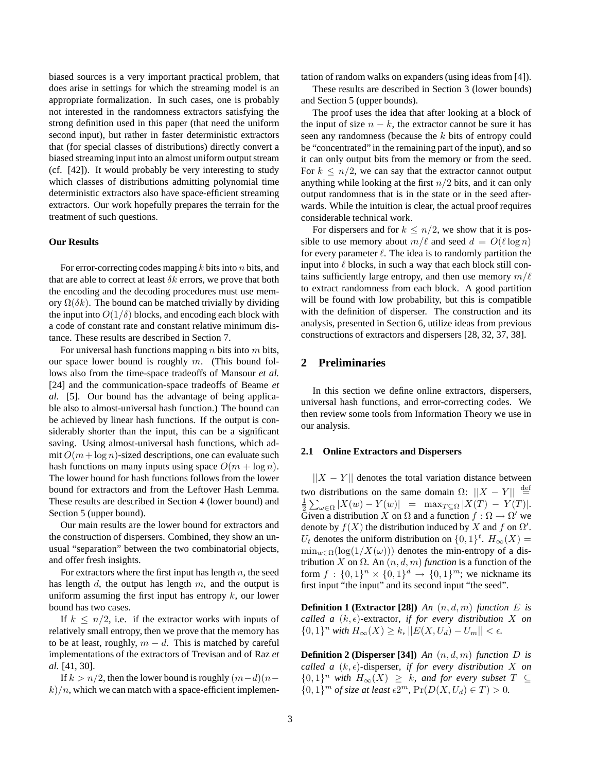biased sources is a very important practical problem, that does arise in settings for which the streaming model is an appropriate formalization. In such cases, one is probably not interested in the randomness extractors satisfying the strong definition used in this paper (that need the uniform second input), but rather in faster deterministic extractors that (for special classes of distributions) directly convert a biased streaming input into an almost uniform output stream (cf. [42]). It would probably be very interesting to study which classes of distributions admitting polynomial time deterministic extractors also have space-efficient streaming extractors. Our work hopefully prepares the terrain for the treatment of such questions.

#### **Our Results**

For error-correcting codes mapping  $k$  bits into  $n$  bits, and that are able to correct at least  $\delta k$  errors, we prove that both the encoding and the decoding procedures must use memory  $\Omega(\delta k)$ . The bound can be matched trivially by dividing the input into  $O(1/\delta)$  blocks, and encoding each block with a code of constant rate and constant relative minimum distance. These results are described in Section 7.

For universal hash functions mapping  $n$  bits into  $m$  bits, our space lower bound is roughly  $m$ . (This bound follows also from the time-space tradeoffs of Mansour *et al.* [24] and the communication-space tradeoffs of Beame *et al.* [5]. Our bound has the advantage of being applicable also to almost-universal hash function.) The bound can be achieved by linear hash functions. If the output is considerably shorter than the input, this can be a significant saving. Using almost-universal hash functions, which admit  $O(m + \log n)$ -sized descriptions, one can evaluate such hash functions on many inputs using space  $O(m + \log n)$ . The lower bound for hash functions follows from the lower bound for extractors and from the Leftover Hash Lemma. These results are described in Section 4 (lower bound) and Section 5 (upper bound).

Our main results are the lower bound for extractors and the construction of dispersers. Combined, they show an unusual "separation" between the two combinatorial objects, and offer fresh insights.

For extractors where the first input has length  $n$ , the seed has length  $d$ , the output has length  $m$ , and the output is uniform assuming the first input has entropy  $k$ , our lower bound has two cases.

If  $k \leq n/2$ , i.e. if the extractor works with inputs of relatively small entropy, then we prove that the memory has to be at least, roughly,  $m - d$ . This is matched by careful implementations of the extractors of Trevisan and of Raz *et al.* [41, 30].

If  $k > n/2$ , then the lower bound is roughly  $(m-d)(n-d)$  $k/n$ , which we can match with a space-efficient implementation of random walks on expanders (using ideas from [4]).

These results are described in Section 3 (lower bounds) and Section 5 (upper bounds).

The proof uses the idea that after looking at a block of the input of size  $n - k$ , the extractor cannot be sure it has seen any randomness (because the k bits of entropy could be "concentrated" in the remaining part of the input), and so it can only output bits from the memory or from the seed. For  $k \leq n/2$ , we can say that the extractor cannot output anything while looking at the first  $n/2$  bits, and it can only output randomness that is in the state or in the seed afterwards. While the intuition is clear, the actual proof requires considerable technical work.

For dispersers and for  $k \leq n/2$ , we show that it is possible to use memory about  $m/\ell$  and seed  $d = O(\ell \log n)$ for every parameter  $\ell$ . The idea is to randomly partition the input into  $\ell$  blocks, in such a way that each block still contains sufficiently large entropy, and then use memory  $m/\ell$ to extract randomness from each block. A good partition will be found with low probability, but this is compatible with the definition of disperser. The construction and its analysis, presented in Section 6, utilize ideas from previous constructions of extractors and dispersers [28, 32, 37, 38].

## **2 Preliminaries**

In this section we define online extractors, dispersers, universal hash functions, and error-correcting codes. We then review some tools from Information Theory we use in our analysis.

#### **2.1 Online Extractors and Dispersers**

 $||X - Y||$  denotes the total variation distance between two distributions on the same domain  $\Omega$ :  $||X - Y|| \stackrel{\text{def}}{=}$  $\frac{1}{2} \sum_{\omega \in \Omega} |X(w) - Y(w)| = \max_{T \subseteq \Omega} |X(T) - Y(T)|.$ Given a distribution X on  $\Omega$  and a function  $f : \Omega \to \Omega'$  we denote by  $f(X)$  the distribution induced by X and f on  $\Omega'$ .  $U_t$  denotes the uniform distribution on  $\{0,1\}^t$ .  $H_\infty(X) =$  $\min_{w \in \Omega} (\log(1/X(\omega)))$  denotes the min-entropy of a distribution X on  $\Omega$ . An  $(n, d, m)$  *function* is a function of the form  $f: \{0,1\}^n \times \{0,1\}^d \to \{0,1\}^m$ ; we nickname its first input "the input" and its second input "the seed".

**Definition 1 (Extractor [28])** *An*  $(n, d, m)$  *function E is called a*  $(k, \epsilon)$ -extractor, *if for every distribution* X *on* {0, 1}<sup>*n*</sup> *with*  $H_{\infty}(X) \geq k$ *,*  $||E(X, U_d) - U_m|| < \epsilon$ *.* 

**Definition 2 (Disperser [34])** *An* (n, d, m) *function* D *is called a*  $(k, \epsilon)$ -disperser, *if for every distribution* X *on* {0, 1} <sup>n</sup> *with* <sup>H</sup>∞(X) <sup>≥</sup> <sup>k</sup>*, and for every subset* <sup>T</sup> <sup>⊆</sup>  ${0, 1}^m$  *of size at least*  $\epsilon 2^m$ ,  $Pr(D(X, U_d) \in T) > 0$ *.*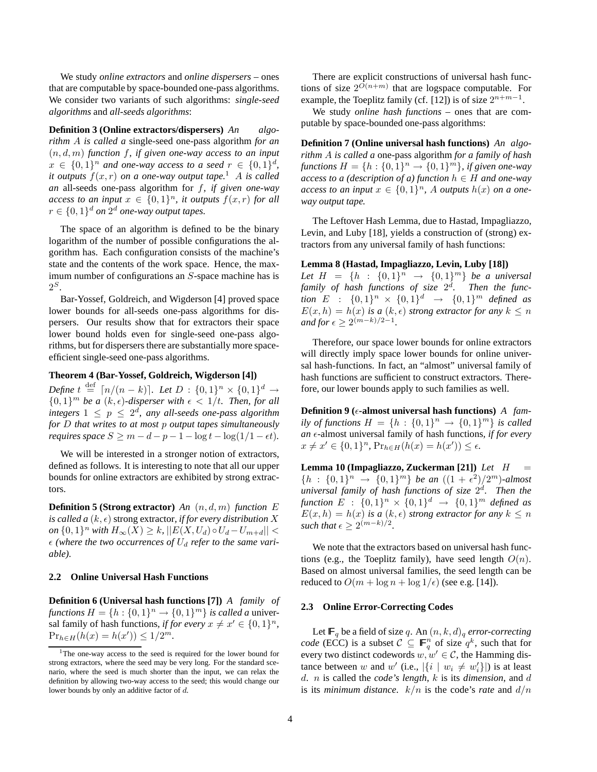We study *online extractors* and *online dispersers* – ones that are computable by space-bounded one-pass algorithms. We consider two variants of such algorithms: *single-seed algorithms* and *all-seeds algorithms*:

**Definition 3 (Online extractors/dispersers)** *An algorithm* A *is called a* single-seed one-pass algorithm *for an* (n, d, m) *function* f*, if given one-way access to an input*  $x \in \{0,1\}^n$  and one-way access to a seed  $r \in \{0,1\}^d$ , *it outputs*  $f(x, r)$  *on a one-way output tape.*<sup>1</sup> *A is called an* all-seeds one-pass algorithm for f*, if given one-way access to an input*  $x \in \{0,1\}^n$ , *it outputs*  $f(x,r)$  *for all*  $r \in \{0,1\}^d$  on  $2^d$  one-way output tapes.

The space of an algorithm is defined to be the binary logarithm of the number of possible configurations the algorithm has. Each configuration consists of the machine's state and the contents of the work space. Hence, the maximum number of configurations an S-space machine has is  $2^S$ .

Bar-Yossef, Goldreich, and Wigderson [4] proved space lower bounds for all-seeds one-pass algorithms for dispersers. Our results show that for extractors their space lower bound holds even for single-seed one-pass algorithms, but for dispersers there are substantially more spaceefficient single-seed one-pass algorithms.

## **Theorem 4 (Bar-Yossef, Goldreich, Wigderson [4])**

*Define*  $t \stackrel{\text{def}}{=} [n/(n-k)]$ *. Let*  $D : \{0,1\}^n \times \{0,1\}^d$  →  $\{0,1\}^m$  be a  $(k,\epsilon)$ -disperser with  $\epsilon < 1/t$ . Then, for all *integers*  $1 \leq p \leq 2^d$ , any all-seeds one-pass algorithm *for* D *that writes to at most* p *output tapes simultaneously requires space*  $S \geq m - d - p - 1 - \log t - \log(1/1 - \epsilon t)$ .

We will be interested in a stronger notion of extractors, defined as follows. It is interesting to note that all our upper bounds for online extractors are exhibited by strong extractors.

**Definition 5 (Strong extractor)** *An* (n, d, m) *function* E *is called a*  $(k, \epsilon)$  strong extractor, *if for every distribution* X *on*  $\{0, 1\}^n$  *with*  $H_{\infty}(X) \geq k$ ,  $||E(X, U_d) \circ U_d - U_{m+d}|| <$  $\epsilon$  (where the two occurrences of  $U_d$  refer to the same vari*able).*

#### **2.2 Online Universal Hash Functions**

**Definition 6 (Universal hash functions [7])** *A family of functions*  $H = \{h : \{0, 1\}^n \to \{0, 1\}^m\}$  *is called a* universal family of hash functions, *if for every*  $x \neq x' \in \{0,1\}^n$ ,  $Pr_{h \in H}(h(x) = h(x')) \leq 1/2^m$ .

There are explicit constructions of universal hash functions of size  $2^{O(n+m)}$  that are logspace computable. For example, the Toeplitz family (cf. [12]) is of size  $2^{n+m-1}$ .

We study *online hash functions* – ones that are computable by space-bounded one-pass algorithms:

**Definition 7 (Online universal hash functions)** *An algorithm* A *is called a* one-pass algorithm *for a family of hash*  $f$ unctions  $H = \{h : \{0,1\}^n \to \{0,1\}^m\}$ *, if given one-way access to a (description of a) function*  $h \in H$  *and one-way access to an input*  $x \in \{0,1\}^n$ , A *outputs*  $h(x)$  *on a oneway output tape.*

The Leftover Hash Lemma, due to Hastad, Impagliazzo, Levin, and Luby [18], yields a construction of (strong) extractors from any universal family of hash functions:

#### **Lemma 8 (Hastad, Impagliazzo, Levin, Luby [18])**

Let  $H = \{h : \{0,1\}^n \to \{0,1\}^m\}$  be a universal *family of hash functions of size* 2 d *. Then the function*  $E : \{0,1\}^n \times \{0,1\}^d \rightarrow \{0,1\}^m$  *defined as*  $E(x, h) = h(x)$  *is a*  $(k, \epsilon)$  *strong extractor for any*  $k \leq n$ *and for*  $\epsilon \geq 2^{(m-k)/2-1}$ .

Therefore, our space lower bounds for online extractors will directly imply space lower bounds for online universal hash-functions. In fact, an "almost" universal family of hash functions are sufficient to construct extractors. Therefore, our lower bounds apply to such families as well.

**Definition 9 (** $\epsilon$ **-almost universal hash functions)** *A family of functions*  $H = \{h : \{0,1\}^n \to \{0,1\}^m\}$  *is called*  $an \epsilon$ -almost universal family of hash functions, *if for every*  $x \neq x' \in \{0, 1\}^n$ ,  $Pr_{h \in H}(h(x) = h(x')) \leq \epsilon$ .

**Lemma 10 (Impagliazzo, Zuckerman [21])** *Let* H =  $\{h : \{0,1\}^n \to \{0,1\}^m\}$  *be an*  $((1 + \epsilon^2)/2^m)$ *-almost universal family of hash functions of size* 2 d *. Then the function*  $E : \{0,1\}^n \times \{0,1\}^d \rightarrow \{0,1\}^m$  *defined as*  $E(x, h) = h(x)$  *is a*  $(k, \epsilon)$  *strong extractor for any*  $k \leq n$ *such that*  $\epsilon \geq 2^{(m-k)/2}$ .

We note that the extractors based on universal hash functions (e.g., the Toeplitz family), have seed length  $O(n)$ . Based on almost universal families, the seed length can be reduced to  $O(m + \log n + \log 1/\epsilon)$  (see e.g. [14]).

#### **2.3 Online Error-Correcting Codes**

Let  $\mathbb{F}_q$  be a field of size q. An  $(n, k, d)_q$  *error-correcting code* (ECC) is a subset  $C \subseteq \mathbb{F}_q^n$  of size  $q^k$ , such that for every two distinct codewords  $w, w' \in \mathcal{C}$ , the Hamming distance between w and w' (i.e.,  $|\{i \mid w_i \neq w'_i\}|$ ) is at least d. n is called the *code's length*, k is its *dimension*, and d is its *minimum distance*.  $k/n$  is the code's *rate* and  $d/n$ 

<sup>&</sup>lt;sup>1</sup>The one-way access to the seed is required for the lower bound for strong extractors, where the seed may be very long. For the standard scenario, where the seed is much shorter than the input, we can relax the definition by allowing two-way access to the seed; this would change our lower bounds by only an additive factor of d.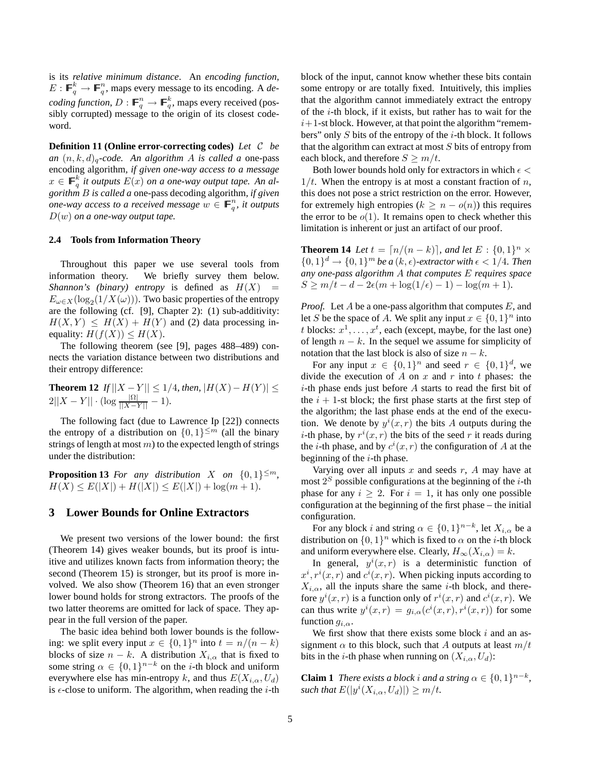is its *relative minimum distance*. An *encoding function*,  $E: \mathbb{F}_q^k \to \mathbb{F}_q^n$ , maps every message to its encoding. A *decoding function*,  $D : \mathbb{F}_q^n \to \mathbb{F}_q^k$ , maps every received (possibly corrupted) message to the origin of its closest codeword.

**Definition 11 (Online error-correcting codes)** *Let* C *be an*  $(n, k, d)$ <sub>*a*</sub>-code. An algorithm A is called a one-pass encoding algorithm*, if given one-way access to a message*  $x \in \mathbb{F}_q^k$  it outputs  $E(x)$  on a one-way output tape. An al*gorithm* B *is called a* one-pass decoding algorithm*, if given one-way access to a received message*  $w \in \mathbb{F}_q^n$ , it outputs D(w) *on a one-way output tape.*

#### **2.4 Tools from Information Theory**

Throughout this paper we use several tools from information theory. We briefly survey them below. *Shannon's (binary) entropy* is defined as  $H(X)$  =  $E_{\omega \in X}(\log_2(1/X(\omega)))$ . Two basic properties of the entropy are the following (cf. [9], Chapter 2): (1) sub-additivity:  $H(X, Y) \leq H(X) + H(Y)$  and (2) data processing inequality:  $H(f(X)) \leq H(X)$ .

The following theorem (see [9], pages 488–489) connects the variation distance between two distributions and their entropy difference:

**Theorem 12** *If*  $||X - Y|| \le 1/4$ *, then,*  $|H(X) - H(Y)| \le$  $2||X - Y|| \cdot (\log \frac{|\Omega|}{||X - Y||} - 1).$ 

The following fact (due to Lawrence Ip [22]) connects the entropy of a distribution on  $\{0, 1\}^{\leq m}$  (all the binary strings of length at most  $m$ ) to the expected length of strings under the distribution:

**Proposition 13** *For any distribution X on*  $\{0,1\}^{\leq m}$ *,*  $H(X) \leq E(|X|) + H(|X|) \leq E(|X|) + \log(m+1)$ .

## **3 Lower Bounds for Online Extractors**

We present two versions of the lower bound: the first (Theorem 14) gives weaker bounds, but its proof is intuitive and utilizes known facts from information theory; the second (Theorem 15) is stronger, but its proof is more involved. We also show (Theorem 16) that an even stronger lower bound holds for strong extractors. The proofs of the two latter theorems are omitted for lack of space. They appear in the full version of the paper.

The basic idea behind both lower bounds is the following: we split every input  $x \in \{0,1\}^n$  into  $t = n/(n-k)$ blocks of size  $n - k$ . A distribution  $X_{i,\alpha}$  that is fixed to some string  $\alpha \in \{0,1\}^{n-k}$  on the *i*-th block and uniform everywhere else has min-entropy k, and thus  $E(X_{i,\alpha}, U_d)$ is  $\epsilon$ -close to uniform. The algorithm, when reading the *i*-th

block of the input, cannot know whether these bits contain some entropy or are totally fixed. Intuitively, this implies that the algorithm cannot immediately extract the entropy of the i-th block, if it exists, but rather has to wait for the  $i+1$ -st block. However, at that point the algorithm "remembers" only  $S$  bits of the entropy of the  $i$ -th block. It follows that the algorithm can extract at most  $S$  bits of entropy from each block, and therefore  $S \ge m/t$ .

Both lower bounds hold only for extractors in which  $\epsilon$  <  $1/t$ . When the entropy is at most a constant fraction of n, this does not pose a strict restriction on the error. However, for extremely high entropies ( $k \geq n - o(n)$ ) this requires the error to be  $o(1)$ . It remains open to check whether this limitation is inherent or just an artifact of our proof.

**Theorem 14** *Let*  $t = \lceil n/(n-k) \rceil$ *, and let*  $E : \{0,1\}^n \times$  $\{0,1\}^d \rightarrow \{0,1\}^m$  be a  $(k, \epsilon)$ *-extractor with*  $\epsilon < 1/4$ *. Then any one-pass algorithm* A *that computes* E *requires space*  $S \ge m/t - d - 2\epsilon(m + \log(1/\epsilon) - 1) - \log(m + 1)$ .

*Proof.* Let A be a one-pass algorithm that computes E, and let S be the space of A. We split any input  $x \in \{0,1\}^n$  into t blocks:  $x^1, \ldots, x^t$ , each (except, maybe, for the last one) of length  $n - k$ . In the sequel we assume for simplicity of notation that the last block is also of size  $n - k$ .

For any input  $x \in \{0,1\}^n$  and seed  $r \in \{0,1\}^d$ , we divide the execution of A on  $x$  and  $r$  into  $t$  phases: the  $i$ -th phase ends just before A starts to read the first bit of the  $i + 1$ -st block; the first phase starts at the first step of the algorithm; the last phase ends at the end of the execution. We denote by  $y^{i}(x, r)$  the bits A outputs during the *i*-th phase, by  $r^{i}(x, r)$  the bits of the seed r it reads during the *i*-th phase, and by  $c^{i}(x, r)$  the configuration of A at the beginning of the  $i$ -th phase.

Varying over all inputs  $x$  and seeds  $r$ ,  $A$  may have at most  $2<sup>S</sup>$  possible configurations at the beginning of the *i*-th phase for any  $i \geq 2$ . For  $i = 1$ , it has only one possible configuration at the beginning of the first phase – the initial configuration.

For any block *i* and string  $\alpha \in \{0,1\}^{n-k}$ , let  $X_{i,\alpha}$  be a distribution on  $\{0, 1\}^n$  which is fixed to  $\alpha$  on the *i*-th block and uniform everywhere else. Clearly,  $H_{\infty}(X_{i,\alpha}) = k$ .

In general,  $y^i(x, r)$  is a deterministic function of  $x^i, r^i(x, r)$  and  $c^i(x, r)$ . When picking inputs according to  $X_{i,\alpha}$ , all the inputs share the same *i*-th block, and therefore  $y^{i}(x, r)$  is a function only of  $r^{i}(x, r)$  and  $c^{i}(x, r)$ . We can thus write  $y^{i}(x,r) = g_{i,\alpha}(c^{i}(x,r), r^{i}(x,r))$  for some function  $g_{i,\alpha}$ .

We first show that there exists some block  $i$  and an assignment  $\alpha$  to this block, such that A outputs at least  $m/t$ bits in the *i*-th phase when running on  $(X_{i,\alpha}, U_d)$ :

**Claim 1** *There exists a block i and a string*  $\alpha \in \{0, 1\}^{n-k}$ , such that  $E(|y^i(X_{i,\alpha},U_d)|) \geq m/t$ .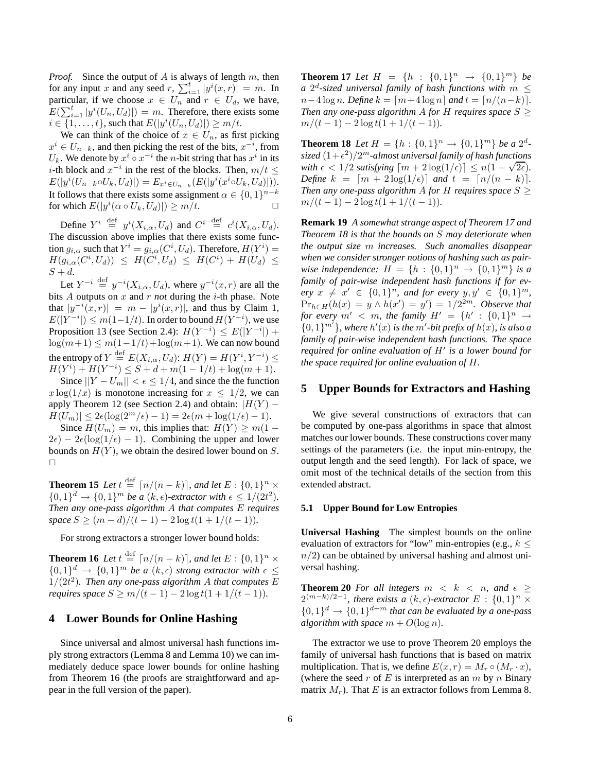*Proof.* Since the output of A is always of length m, then for any input x and any seed  $r$ ,  $\sum_{i=1}^{t} |y^{i}(x, r)| = m$ . In particular, if we choose  $x \in U_n$  and  $r \in U_d$ , we have,  $E(\sum_{i=1}^t |y^i(U_n, U_d)|) = m$ . Therefore, there exists some  $i \in \{1, \ldots, t\}$ , such that  $E(|y^i(U_n, U_d)|) \ge m/t$ .

We can think of the choice of  $x \in U_n$ , as first picking  $x^i \in U_{n-k}$ , and then picking the rest of the bits,  $x^{-i}$ , from  $U_k$ . We denote by  $x^i \circ x^{-i}$  the *n*-bit string that has  $x^i$  in its i-th block and  $x^{-i}$  in the rest of the blocks. Then,  $m/t \leq$  $E(|y^{i}(U_{n-k} \circ U_k, U_d)|) = E_{x^{i} \in U_{n-k}}(E(|y^{i}(x^{i} \circ U_k, U_d)|)).$ It follows that there exists some assignment  $\alpha \in \{0,1\}^{n-k}$ for which  $E(|y^i(\alpha \circ U_k, U_d)|) \ge m/t$ .

Define  $Y^i \stackrel{\text{def}}{=} y^i(X_{i,\alpha}, U_d)$  and  $C^i \stackrel{\text{def}}{=} c^i(X_{i,\alpha}, U_d)$ . The discussion above implies that there exists some function  $g_{i,\alpha}$  such that  $Y^i = g_{i,\alpha}(C^i, U_d)$ . Therefore,  $H(Y^i) =$  $H(g_{i,\alpha}(C^i, U_d)) \leq H(C^i, U_d) \leq H(C^i) + H(U_d) \leq$  $S + d$ .

Let  $Y^{-i} \stackrel{\text{def}}{=} y^{-i}(X_{i,\alpha}, U_d)$ , where  $y^{-i}(x, r)$  are all the bits A outputs on x and r *not* during the i-th phase. Note that  $|y^{-i}(x,r)| = m - |y^{i}(x,r)|$ , and thus by Claim 1,  $E(|Y^{-i}|) \leq m(1-1/t)$ . In order to bound  $H(Y^{-i})$ , we use Proposition 13 (see Section 2.4):  $H(Y^{-i}) \leq E(|Y^{-i}|) +$  $\log(m+1) \leq m(1-1/t) + \log(m+1)$ . We can now bound the entropy of  $Y \stackrel{\text{def}}{=} E(X_{i,\alpha}, U_d)$ :  $H(Y) = H(Y^i, Y^{-i}) \le$  $H(Y<sup>i</sup>) + H(Y<sup>-i</sup>) \leq S + d + m(1 - 1/t) + \log(m + 1).$ 

Since  $||Y - U_m|| < \epsilon \leq 1/4$ , and since the function  $x \log(1/x)$  is monotone increasing for  $x \leq 1/2$ , we can apply Theorem 12 (see Section 2.4) and obtain:  $|H(Y) H(U_m)| \leq 2\epsilon (\log(2^m/\epsilon) - 1) = 2\epsilon (m + \log(1/\epsilon) - 1).$ 

Since  $H(U_m) = m$ , this implies that:  $H(Y) \ge m(1 2\epsilon$ ) –  $2\epsilon(\log(1/\epsilon) - 1)$ . Combining the upper and lower bounds on  $H(Y)$ , we obtain the desired lower bound on S. ✷

**Theorem 15** Let  $t \stackrel{\text{def}}{=} \lceil n/(n-k) \rceil$ , and let  $E : \{0,1\}^n \times$  $\{0,1\}^d \rightarrow \{0,1\}^m$  *be a*  $(k,\epsilon)$ *-extractor with*  $\epsilon \leq 1/(2t^2)$ *. Then any one-pass algorithm* A *that computes* E *requires space*  $S$  ≥  $(m-d)/(t-1) - 2 log t(1+1/(t-1))$ *.* 

For strong extractors a stronger lower bound holds:

**Theorem 16** Let  $t \stackrel{\text{def}}{=} \lceil n/(n-k) \rceil$ *, and let*  $E : \{0,1\}^n \times$  ${0,1}^d \rightarrow {0,1}^m$  *be a*  $(k,\epsilon)$  *strong extractor with*  $\epsilon \le$  $1/(2t^2)$ . Then any one-pass algorithm A that computes E *requires space*  $S \geq m/(t-1) - 2 \log t(1 + 1/(t-1))$ .

## **4 Lower Bounds for Online Hashing**

Since universal and almost universal hash functions imply strong extractors (Lemma 8 and Lemma 10) we can immediately deduce space lower bounds for online hashing from Theorem 16 (the proofs are straightforward and appear in the full version of the paper).

**Theorem 17** *Let*  $H = \{h : \{0,1\}^n \to \{0,1\}^m\}$  *be a*  $2^d$ -sized universal family of hash functions with  $m \leq$  $n-4 \log n$ *. Define*  $k = \lceil m+4 \log n \rceil$  *and*  $t = \lceil n/(n-k) \rceil$ *. Then any one-pass algorithm A for H requires space*  $S \geq$  $m/(t-1) - 2 \log t(1 + 1/(t-1)).$ 

**Theorem 18** *Let*  $H = \{h : \{0, 1\}^n \to \{0, 1\}^m\}$  *be a*  $2^d$ - $\frac{sized}{(1+\epsilon^2)}$ / $2^m$ -almost universal family of hash functions *with*  $\epsilon < 1/2$  *satisfying*  $\lceil m + 2 \log(1/\epsilon) \rceil \le n(1 - \sqrt{2\epsilon})$ . *Define*  $k = [m + 2 \log(1/\epsilon)]$  *and*  $t = [n/(n - k)].$ *Then any one-pass algorithm A for H requires space*  $S \geq$  $m/(t-1) - 2 \log t(1 + 1/(t-1)).$ 

**Remark 19** *A somewhat strange aspect of Theorem 17 and Theorem 18 is that the bounds on* S *may deteriorate when the output size* m *increases. Such anomalies disappear when we consider stronger notions of hashing such as pairwise independence:*  $H = \{h : \{0,1\}^n \to \{0,1\}^m\}$  *is a family of pair-wise independent hash functions if for ev* $e^{i\pi y}$   $x \neq x' \in \{0,1\}^n$ , and for every  $y, y' \in \{0,1\}^m$ ,  $Pr_{h \in H}(h(x) = y \land h(x') = y') = 1/2^{2m}$ . Observe that *for every*  $m' < m$ , the family  $H' = \{h' : \{0,1\}^n \rightarrow$  $\{0,1\}^{m'}$ }, where  $h'(x)$  is the  $m'$ -bit prefix of  $h(x)$ , is also a *family of pair-wise independent hash functions. The space required for online evaluation of* H′ *is a lower bound for the space required for online evaluation of* H*.*

## **5 Upper Bounds for Extractors and Hashing**

We give several constructions of extractors that can be computed by one-pass algorithms in space that almost matches our lower bounds. These constructions cover many settings of the parameters (i.e. the input min-entropy, the output length and the seed length). For lack of space, we omit most of the technical details of the section from this extended abstract.

#### **5.1 Upper Bound for Low Entropies**

**Universal Hashing** The simplest bounds on the online evaluation of extractors for "low" min-entropies (e.g.,  $k \leq$  $n/2$ ) can be obtained by universal hashing and almost universal hashing.

**Theorem 20** For all integers  $m \leq k \leq n$ , and  $\epsilon \geq$  $2^{(m-k)/2-1}$ , there exists a (k,  $\epsilon$ )*-extractor* E : {0, 1}<sup>n</sup> ×  $\{0,1\}^d \rightarrow \{0,1\}^{d+m}$  that can be evaluated by a one-pass *algorithm with space*  $m + O(\log n)$ *.* 

The extractor we use to prove Theorem 20 employs the family of universal hash functions that is based on matrix multiplication. That is, we define  $E(x, r) = M_r \circ (M_r \cdot x)$ , (where the seed r of E is interpreted as an m by n Binary matrix  $M_r$ ). That E is an extractor follows from Lemma 8.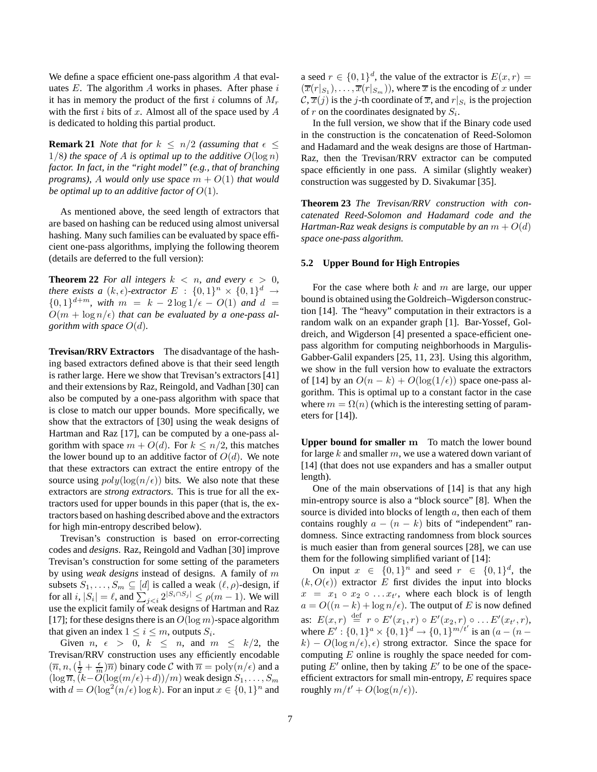We define a space efficient one-pass algorithm A that evaluates  $E$ . The algorithm  $A$  works in phases. After phase  $i$ it has in memory the product of the first i columns of  $M_r$ with the first  $i$  bits of  $x$ . Almost all of the space used by  $A$ is dedicated to holding this partial product.

**Remark 21** *Note that for*  $k \leq n/2$  *(assuming that*  $\epsilon \leq$  $1/8$ *) the space of A is optimal up to the additive*  $O(\log n)$ *factor. In fact, in the "right model" (e.g., that of branching programs),* A would only use space  $m + O(1)$  that would *be optimal up to an additive factor of*  $O(1)$ *.* 

As mentioned above, the seed length of extractors that are based on hashing can be reduced using almost universal hashing. Many such families can be evaluated by space efficient one-pass algorithms, implying the following theorem (details are deferred to the full version):

**Theorem 22** *For all integers*  $k < n$ *, and every*  $\epsilon > 0$ *, there exists a*  $(k, \epsilon)$ *-extractor*  $E : \{0, 1\}^n \times \{0, 1\}^d \rightarrow$  $\{0,1\}^{d+m}$ , with  $m = k - 2 \log 1/\epsilon - O(1)$  and  $d =$  $O(m + \log n/\epsilon)$  *that can be evaluated by a one-pass algorithm with space*  $O(d)$ .

**Trevisan/RRV Extractors** The disadvantage of the hashing based extractors defined above is that their seed length is rather large. Here we show that Trevisan's extractors [41] and their extensions by Raz, Reingold, and Vadhan [30] can also be computed by a one-pass algorithm with space that is close to match our upper bounds. More specifically, we show that the extractors of [30] using the weak designs of Hartman and Raz [17], can be computed by a one-pass algorithm with space  $m + O(d)$ . For  $k \leq n/2$ , this matches the lower bound up to an additive factor of  $O(d)$ . We note that these extractors can extract the entire entropy of the source using  $poly(log(n/\epsilon))$  bits. We also note that these extractors are *strong extractors*. This is true for all the extractors used for upper bounds in this paper (that is, the extractors based on hashing described above and the extractors for high min-entropy described below).

Trevisan's construction is based on error-correcting codes and *designs*. Raz, Reingold and Vadhan [30] improve Trevisan's construction for some setting of the parameters by using *weak designs* instead of designs. A family of m subsets  $S_1, \ldots, S_m \subseteq [d]$  is called a weak  $(\ell, \rho)$ -design, if for all  $i, |S_i| = \ell$ , and  $\sum_{j < i} 2^{|S_i \cap S_j|} \le \rho(m-1)$ . We will use the explicit family of weak designs of Hartman and Raz [17]; for these designs there is an  $O(\log m)$ -space algorithm that given an index  $1 \leq i \leq m$ , outputs  $S_i$ .

Given  $n, \epsilon > 0, k \leq n,$  and  $m \leq k/2$ , the Trevisan/RRV construction uses any efficiently encodable  $(\overline{n}, n, (\frac{1}{2} + \frac{\epsilon}{m})\overline{n})$  binary code  $\mathcal C$  with  $\overline{n} = \text{poly}(n/\epsilon)$  and a  $(\log \overline{n},\overline{(k-O(\log(m/\epsilon)+d))/m})$  weak design  $S_1,\ldots,S_m$ with  $d = O(\log^2(n/\epsilon) \log k)$ . For an input  $x \in \{0, 1\}^n$  and

a seed  $r \in \{0,1\}^d$ , the value of the extractor is  $E(x, r) =$  $(\overline{x}(r|_{S_1}), \ldots, \overline{x}(r|_{S_m}))$ , where  $\overline{x}$  is the encoding of x under  $\mathcal{C}, \overline{x}(j)$  is the j-th coordinate of  $\overline{x}$ , and  $r|_{S_i}$  is the projection of r on the coordinates designated by  $S_i$ .

In the full version, we show that if the Binary code used in the construction is the concatenation of Reed-Solomon and Hadamard and the weak designs are those of Hartman-Raz, then the Trevisan/RRV extractor can be computed space efficiently in one pass. A similar (slightly weaker) construction was suggested by D. Sivakumar [35].

**Theorem 23** *The Trevisan/RRV construction with concatenated Reed-Solomon and Hadamard code and the Hartman-Raz weak designs is computable by an*  $m + O(d)$ *space one-pass algorithm.*

#### **5.2 Upper Bound for High Entropies**

For the case where both  $k$  and  $m$  are large, our upper bound is obtained using the Goldreich–Wigderson construction [14]. The "heavy" computation in their extractors is a random walk on an expander graph [1]. Bar-Yossef, Goldreich, and Wigderson [4] presented a space-efficient onepass algorithm for computing neighborhoods in Margulis-Gabber-Galil expanders [25, 11, 23]. Using this algorithm, we show in the full version how to evaluate the extractors of [14] by an  $O(n - k) + O(\log(1/\epsilon))$  space one-pass algorithm. This is optimal up to a constant factor in the case where  $m = \Omega(n)$  (which is the interesting setting of parameters for [14]).

**Upper bound for smaller** m To match the lower bound for large  $k$  and smaller  $m$ , we use a watered down variant of [14] (that does not use expanders and has a smaller output length).

One of the main observations of [14] is that any high min-entropy source is also a "block source" [8]. When the source is divided into blocks of length  $a$ , then each of them contains roughly  $a - (n - k)$  bits of "independent" randomness. Since extracting randomness from block sources is much easier than from general sources [28], we can use them for the following simplified variant of [14]:

On input  $x \in \{0,1\}^n$  and seed  $r \in \{0,1\}^d$ , the  $(k, O(\epsilon))$  extractor E first divides the input into blocks  $x = x_1 \circ x_2 \circ \ldots x_{t'}$ , where each block is of length  $a = O((n - k) + \log n/\epsilon)$ . The output of E is now defined as:  $E(x,r) \stackrel{\text{def}}{=} r \circ E'(x_1,r) \circ E'(x_2,r) \circ \dots E'(x_{t'},r),$ where  $E' : \{0,1\}^a \times \{0,1\}^d \rightarrow \{0,1\}^{m/t'}$  is an  $(a - (n$  $k$ ) –  $O(\log n/\epsilon)$ ,  $\epsilon$ ) strong extractor. Since the space for computing  $E$  online is roughly the space needed for computing  $E'$  online, then by taking  $E'$  to be one of the spaceefficient extractors for small min-entropy,  $E$  requires space roughly  $m/t' + O(\log(n/\epsilon)).$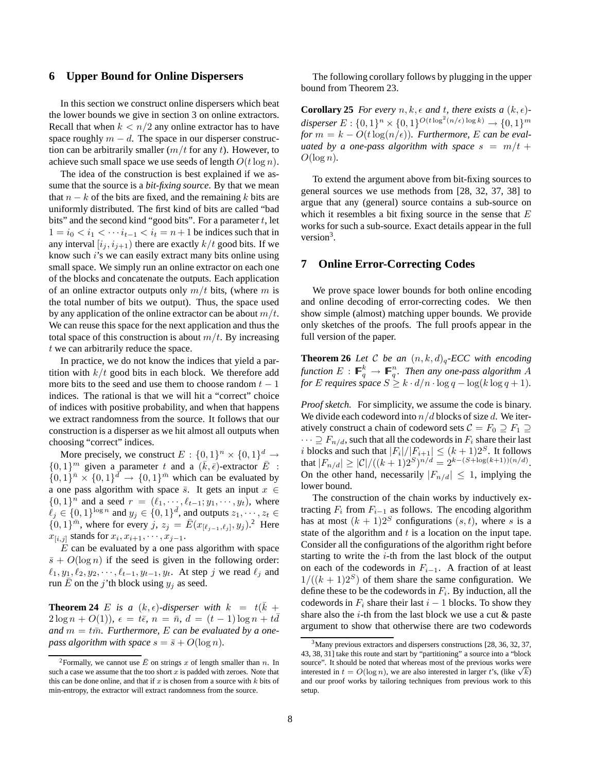## **6 Upper Bound for Online Dispersers**

In this section we construct online dispersers which beat the lower bounds we give in section 3 on online extractors. Recall that when  $k < n/2$  any online extractor has to have space roughly  $m - d$ . The space in our disperser construction can be arbitrarily smaller  $(m/t$  for any t). However, to achieve such small space we use seeds of length  $O(t \log n)$ .

The idea of the construction is best explained if we assume that the source is a *bit-fixing source*. By that we mean that  $n - k$  of the bits are fixed, and the remaining k bits are uniformly distributed. The first kind of bits are called "bad bits" and the second kind "good bits". For a parameter  $t$ , let  $1 = i_0 < i_1 < \cdots i_{t-1} < i_t = n+1$  be indices such that in any interval  $[i_j, i_{j+1})$  there are exactly  $k/t$  good bits. If we know such i's we can easily extract many bits online using small space. We simply run an online extractor on each one of the blocks and concatenate the outputs. Each application of an online extractor outputs only  $m/t$  bits, (where m is the total number of bits we output). Thus, the space used by any application of the online extractor can be about  $m/t$ . We can reuse this space for the next application and thus the total space of this construction is about  $m/t$ . By increasing t we can arbitrarily reduce the space.

In practice, we do not know the indices that yield a partition with  $k/t$  good bits in each block. We therefore add more bits to the seed and use them to choose random  $t - 1$ indices. The rational is that we will hit a "correct" choice of indices with positive probability, and when that happens we extract randomness from the source. It follows that our construction is a disperser as we hit almost all outputs when choosing "correct" indices.

More precisely, we construct  $E: \{0,1\}^n \times \{0,1\}^d \rightarrow$  $\{0,1\}^m$  given a parameter t and a  $(\bar{k}, \bar{\epsilon})$ -extractor  $\bar{E}$  :  ${0, 1}^{\overline{n}} \times {0, 1}^{\overline{d}} \rightarrow {0, 1}^{\overline{n}}$  which can be evaluated by a one pass algorithm with space  $\bar{s}$ . It gets an input  $x \in$  ${0, 1}^n$  and a seed  $r = (\ell_1, \dots, \ell_{t-1}; y_1, \dots, y_t)$ , where  $\ell_j \in \{0,1\}^{\log n}$  and  $y_j \in \{0,1\}^{\bar{d}}$ , and outputs  $z_1, \dots, z_t \in$  $\{0,1\}^{\overline{m}}$ , where for every  $j, z_j = \overline{E}(x_{\lfloor \ell_{j-1}, \ell_j \rfloor}, y_j)$ .<sup>2</sup> Here  $x_{[i,j]}$  stands for  $x_i, x_{i+1}, \dots, x_{j-1}$ .

 $E$  can be evaluated by a one pass algorithm with space  $\bar{s} + O(\log n)$  if the seed is given in the following order:  $\ell_1, y_1, \ell_2, y_2, \cdots, \ell_{t-1}, y_{t-1}, y_t$ . At step j we read  $\ell_j$  and run  $\overline{E}$  on the j'th block using  $y_j$  as seed.

**Theorem 24** E is a  $(k, \epsilon)$ -disperser with  $k = t(\bar{k} + \epsilon)$  $2 \log n + O(1)$ ,  $\epsilon = t\bar{\epsilon}$ ,  $n = \bar{n}$ ,  $d = (t - 1) \log n + t\bar{d}$ and  $m = t\overline{m}$ . Furthermore, E can be evaluated by a one*pass algorithm with space*  $s = \bar{s} + O(\log n)$ *.* 

The following corollary follows by plugging in the upper bound from Theorem 23.

**Corollary 25** *For every*  $n, k, \epsilon$  *and*  $t$ *, there exists*  $a(k, \epsilon)$ disperser  $E: \{0,1\}^n \times \{0,1\}^{O(t \log^2(n/\epsilon) \log k)} \rightarrow \{0,1\}^m$ *for*  $m = k - O(t \log(n/\epsilon))$ *. Furthermore, E can be evaluated by a one-pass algorithm with space*  $s = m/t +$  $O(\log n)$ .

To extend the argument above from bit-fixing sources to general sources we use methods from [28, 32, 37, 38] to argue that any (general) source contains a sub-source on which it resembles a bit fixing source in the sense that  $E$ works for such a sub-source. Exact details appear in the full version<sup>3</sup>.

#### **7 Online Error-Correcting Codes**

We prove space lower bounds for both online encoding and online decoding of error-correcting codes. We then show simple (almost) matching upper bounds. We provide only sketches of the proofs. The full proofs appear in the full version of the paper.

**Theorem 26** *Let* C *be an*  $(n, k, d)$ <sub>q</sub>-ECC with encoding function  $E : \mathbb{F}_q^k \to \mathbb{F}_q^n$ . Then any one-pass algorithm A *for* E requires space  $S \geq k \cdot d/n \cdot \log q - \log(k \log q + 1)$ .

*Proof sketch.* For simplicity, we assume the code is binary. We divide each codeword into  $n/d$  blocks of size d. We iteratively construct a chain of codeword sets  $C = F_0 \supseteq F_1 \supseteq$  $\cdots \supseteq F_{n/d}$ , such that all the codewords in  $F_i$  share their last i blocks and such that  $|F_i|/|F_{i+1}| \leq (k+1)2^S$ . It follows that  $|F_{n/d}| \geq |\mathcal{C}|/((k+1)2^S)^{n/d} = 2^{k-(S+\log(k+1))(n/d)}$ . On the other hand, necessarily  $|F_{n/d}| \leq 1$ , implying the lower bound.

The construction of the chain works by inductively extracting  $F_i$  from  $F_{i-1}$  as follows. The encoding algorithm has at most  $(k + 1)2^{S}$  configurations  $(s, t)$ , where s is a state of the algorithm and  $t$  is a location on the input tape. Consider all the configurations of the algorithm right before starting to write the  $i$ -th from the last block of the output on each of the codewords in  $F_{i-1}$ . A fraction of at least  $1/((k+1)2<sup>S</sup>)$  of them share the same configuration. We define these to be the codewords in  $F_i$ . By induction, all the codewords in  $F_i$  share their last  $i - 1$  blocks. To show they share also the *i*-th from the last block we use a cut  $\&$  paste argument to show that otherwise there are two codewords

<sup>&</sup>lt;sup>2</sup>Formally, we cannot use  $\bar{E}$  on strings x of length smaller than n. In such a case we assume that the too short  $x$  is padded with zeroes. Note that this can be done online, and that if  $x$  is chosen from a source with  $k$  bits of min-entropy, the extractor will extract randomness from the source.

 $3<sup>3</sup>$ Many previous extractors and dispersers constructions [28, 36, 32, 37, 43, 38, 31] take this route and start by "partitioning" a source into a "block source". It should be noted that whereas most of the previous works were interested in  $t = O(\log n)$ , we are also interested in larger t's, (like  $\sqrt{k}$ ) and our proof works by tailoring techniques from previous work to this setup.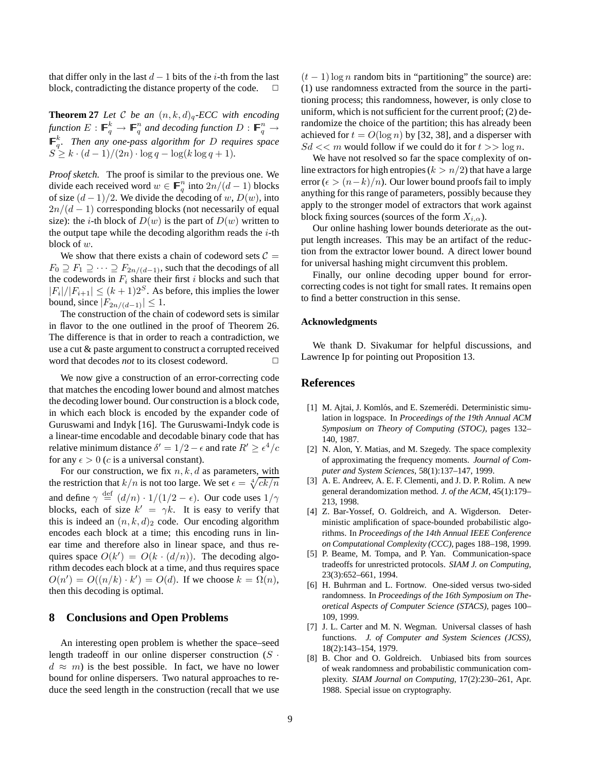that differ only in the last  $d - 1$  bits of the *i*-th from the last block contradicting the distance property of the code  $\Box$ block, contradicting the distance property of the code.

**Theorem 27** *Let* C *be an*  $(n, k, d)$ <sub>*a*</sub>-*ECC with encoding* function  $E: \mathbb{F}_q^k \to \mathbb{F}_q^n$  and decoding function  $D: \mathbb{F}_q^n \to$  $\mathbb{F}_q^k$ . Then any one-pass algorithm for D requires space  $S^3 > k \cdot (d-1)/(2n) \cdot \log q - \log(k \log q + 1)$ 

*Proof sketch.* The proof is similar to the previous one. We divide each received word  $w \in \mathbb{F}_q^n$  into  $2n/(d-1)$  blocks of size  $(d-1)/2$ . We divide the decoding of w,  $D(w)$ , into  $2n/(d-1)$  corresponding blocks (not necessarily of equal size): the *i*-th block of  $D(w)$  is the part of  $D(w)$  written to the output tape while the decoding algorithm reads the  $i$ -th block of w.

We show that there exists a chain of codeword sets  $C =$  $F_0 \supseteq F_1 \supseteq \cdots \supseteq F_{2n/(d-1)}$ , such that the decodings of all the codewords in  $F_i$  share their first i blocks and such that  $|F_i|/|F_{i+1}| \leq (k+1)2^S$ . As before, this implies the lower bound, since  $|F_{2n/(d-1)}| \leq 1$ .

The construction of the chain of codeword sets is similar in flavor to the one outlined in the proof of Theorem 26. The difference is that in order to reach a contradiction, we use a cut & paste argument to construct a corrupted received word that decodes *not* to its closest codeword.  $\Box$ 

We now give a construction of an error-correcting code that matches the encoding lower bound and almost matches the decoding lower bound. Our construction is a block code, in which each block is encoded by the expander code of Guruswami and Indyk [16]. The Guruswami-Indyk code is a linear-time encodable and decodable binary code that has relative minimum distance  $\delta' = 1/2 - \epsilon$  and rate  $R' \ge \epsilon^4/c$ for any  $\epsilon > 0$  (*c* is a universal constant).

For our construction, we fix  $n, k, d$  as parameters, with the restriction that  $k/n$  is not too large. We set  $\epsilon = \sqrt[4]{ck/n}$ and define  $\gamma \stackrel{\text{def}}{=} (d/n) \cdot 1/(1/2 - \epsilon)$ . Our code uses  $1/\gamma$ blocks, each of size  $k' = \gamma k$ . It is easy to verify that this is indeed an  $(n, k, d)_2$  code. Our encoding algorithm encodes each block at a time; this encoding runs in linear time and therefore also in linear space, and thus requires space  $O(k') = O(k \cdot (d/n))$ . The decoding algorithm decodes each block at a time, and thus requires space  $O(n') = O((n/k) \cdot k') = O(d)$ . If we choose  $k = \Omega(n)$ , then this decoding is optimal.

## **8 Conclusions and Open Problems**

An interesting open problem is whether the space–seed length tradeoff in our online disperser construction  $(S \cdot$  $d \approx m$ ) is the best possible. In fact, we have no lower bound for online dispersers. Two natural approaches to reduce the seed length in the construction (recall that we use  $(t-1)$  log *n* random bits in "partitioning" the source) are: (1) use randomness extracted from the source in the partitioning process; this randomness, however, is only close to uniform, which is not sufficient for the current proof; (2) derandomize the choice of the partition; this has already been achieved for  $t = O(\log n)$  by [32, 38], and a disperser with  $Sd \ll m$  would follow if we could do it for  $t >> \log n$ .

We have not resolved so far the space complexity of online extractors for high entropies  $(k > n/2)$  that have a large error ( $\epsilon > (n-k)/n$ ). Our lower bound proofs fail to imply anything for this range of parameters, possibly because they apply to the stronger model of extractors that work against block fixing sources (sources of the form  $X_{i,\alpha}$ ).

Our online hashing lower bounds deteriorate as the output length increases. This may be an artifact of the reduction from the extractor lower bound. A direct lower bound for universal hashing might circumvent this problem.

Finally, our online decoding upper bound for errorcorrecting codes is not tight for small rates. It remains open to find a better construction in this sense.

#### **Acknowledgments**

We thank D. Sivakumar for helpful discussions, and Lawrence Ip for pointing out Proposition 13.

#### **References**

- [1] M. Ajtai, J. Komlós, and E. Szemerédi. Deterministic simulation in logspace. In *Proceedings of the 19th Annual ACM Symposium on Theory of Computing (STOC)*, pages 132– 140, 1987.
- [2] N. Alon, Y. Matias, and M. Szegedy. The space complexity of approximating the frequency moments. *Journal of Computer and System Sciences*, 58(1):137–147, 1999.
- [3] A. E. Andreev, A. E. F. Clementi, and J. D. P. Rolim. A new general derandomization method. *J. of the ACM*, 45(1):179– 213, 1998.
- [4] Z. Bar-Yossef, O. Goldreich, and A. Wigderson. Deterministic amplification of space-bounded probabilistic algorithms. In *Proceedings of the 14th Annual IEEE Conference on Computational Complexity (CCC)*, pages 188–198, 1999.
- [5] P. Beame, M. Tompa, and P. Yan. Communication-space tradeoffs for unrestricted protocols. *SIAM J. on Computing*, 23(3):652–661, 1994.
- [6] H. Buhrman and L. Fortnow. One-sided versus two-sided randomness. In *Proceedings of the 16th Symposium on Theoretical Aspects of Computer Science (STACS)*, pages 100– 109, 1999.
- [7] J. L. Carter and M. N. Wegman. Universal classes of hash functions. *J. of Computer and System Sciences (JCSS)*, 18(2):143–154, 1979.
- [8] B. Chor and O. Goldreich. Unbiased bits from sources of weak randomness and probabilistic communication complexity. *SIAM Journal on Computing*, 17(2):230–261, Apr. 1988. Special issue on cryptography.